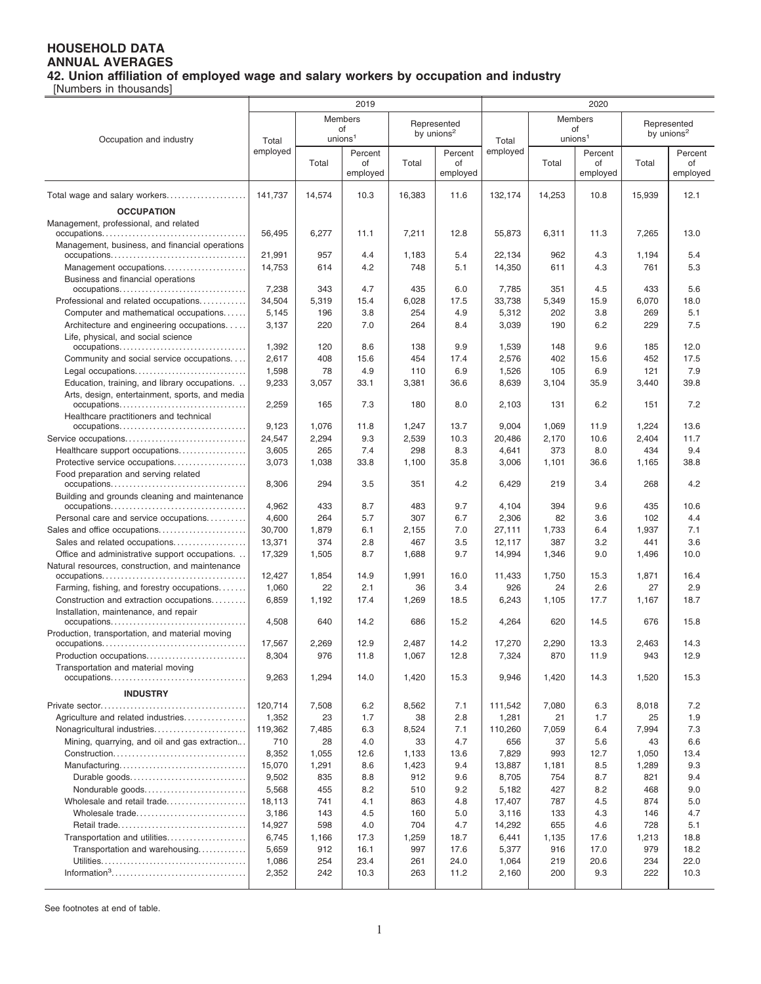## **HOUSEHOLD DATA ANNUAL AVERAGES**

**42. Union affiliation of employed wage and salary workers by occupation and industry**

[Numbers in thousands]

|                                                                                                   | 2019             |                     |                                       |              |                | 2020             |                     |                |                                       |                |  |
|---------------------------------------------------------------------------------------------------|------------------|---------------------|---------------------------------------|--------------|----------------|------------------|---------------------|----------------|---------------------------------------|----------------|--|
| Occupation and industry                                                                           | <b>Members</b>   |                     |                                       |              |                |                  | Members             |                | Represented<br>by unions <sup>2</sup> |                |  |
|                                                                                                   | of               |                     | Represented<br>by unions <sup>2</sup> |              |                | οf               |                     |                |                                       |                |  |
|                                                                                                   | Total            | unions <sup>1</sup> |                                       |              |                | Total            | unions <sup>1</sup> |                |                                       |                |  |
|                                                                                                   | employed         |                     | Percent                               |              | Percent        | employed         |                     | Percent        |                                       | Percent        |  |
|                                                                                                   |                  | Total               | of<br>employed                        | Total        | of<br>employed |                  | Total               | of<br>employed | Total                                 | of<br>employed |  |
|                                                                                                   |                  |                     |                                       |              |                |                  |                     |                |                                       |                |  |
| Total wage and salary workers                                                                     | 141,737          | 14,574              | 10.3                                  | 16,383       | 11.6           | 132,174          | 14,253              | 10.8           | 15,939                                | 12.1           |  |
| <b>OCCUPATION</b>                                                                                 |                  |                     |                                       |              |                |                  |                     |                |                                       |                |  |
| Management, professional, and related                                                             |                  |                     |                                       |              |                | 55.873           |                     |                |                                       |                |  |
| Management, business, and financial operations                                                    | 56,495           | 6,277               | 11.1                                  | 7,211        | 12.8           |                  | 6,311               | 11.3           | 7,265                                 | 13.0           |  |
|                                                                                                   | 21,991           | 957                 | 4.4                                   | 1,183        | 5.4            | 22,134           | 962                 | 4.3            | 1,194                                 | 5.4            |  |
| Management occupations                                                                            | 14,753           | 614                 | 4.2                                   | 748          | 5.1            | 14,350           | 611                 | 4.3            | 761                                   | 5.3            |  |
| Business and financial operations                                                                 |                  |                     |                                       |              |                |                  |                     |                |                                       |                |  |
| occupations                                                                                       | 7,238<br>34,504  | 343<br>5,319        | 4.7<br>15.4                           | 435<br>6,028 | 6.0<br>17.5    | 7,785<br>33,738  | 351<br>5,349        | 4.5<br>15.9    | 433<br>6,070                          | 5.6<br>18.0    |  |
| Professional and related occupations<br>Computer and mathematical occupations                     | 5,145            | 196                 | 3.8                                   | 254          | 4.9            | 5,312            | 202                 | 3.8            | 269                                   | 5.1            |  |
| Architecture and engineering occupations                                                          | 3,137            | 220                 | 7.0                                   | 264          | 8.4            | 3,039            | 190                 | 6.2            | 229                                   | 7.5            |  |
| Life, physical, and social science                                                                |                  |                     |                                       |              |                |                  |                     |                |                                       |                |  |
| occupations                                                                                       | 1,392            | 120                 | 8.6                                   | 138          | 9.9            | 1,539            | 148                 | 9.6            | 185                                   | 12.0           |  |
| Community and social service occupations                                                          | 2,617            | 408                 | 15.6                                  | 454          | 17.4           | 2,576            | 402                 | 15.6           | 452                                   | 17.5           |  |
| Legal occupations                                                                                 | 1,598            | 78                  | 4.9                                   | 110          | 6.9            | 1,526            | 105                 | 6.9            | 121                                   | 7.9            |  |
| Education, training, and library occupations                                                      | 9,233            | 3,057               | 33.1                                  | 3,381        | 36.6           | 8,639            | 3,104               | 35.9           | 3,440                                 | 39.8           |  |
| Arts, design, entertainment, sports, and media<br>occupations                                     | 2,259            | 165                 | 7.3                                   | 180          | 8.0            | 2,103            | 131                 | 6.2            | 151                                   | 7.2            |  |
| Healthcare practitioners and technical                                                            |                  |                     |                                       |              |                |                  |                     |                |                                       |                |  |
| occupations                                                                                       | 9,123            | 1,076               | 11.8                                  | 1,247        | 13.7           | 9,004            | 1,069               | 11.9           | 1,224                                 | 13.6           |  |
| Service occupations                                                                               | 24,547           | 2,294               | 9.3                                   | 2,539        | 10.3           | 20,486           | 2,170               | 10.6           | 2,404                                 | 11.7           |  |
| Healthcare support occupations                                                                    | 3,605            | 265                 | 7.4                                   | 298          | 8.3            | 4,641            | 373                 | 8.0            | 434                                   | 9.4            |  |
| Protective service occupations                                                                    | 3,073            | 1,038               | 33.8                                  | 1,100        | 35.8           | 3,006            | 1,101               | 36.6           | 1,165                                 | 38.8           |  |
| Food preparation and serving related                                                              | 8,306            | 294                 | 3.5                                   | 351          | 4.2            | 6,429            | 219                 | 3.4            | 268                                   | 4.2            |  |
| Building and grounds cleaning and maintenance                                                     |                  |                     |                                       |              |                |                  |                     |                |                                       |                |  |
|                                                                                                   | 4,962            | 433                 | 8.7                                   | 483          | 9.7            | 4,104            | 394                 | 9.6            | 435                                   | 10.6           |  |
| Personal care and service occupations                                                             | 4,600            | 264                 | 5.7                                   | 307          | 6.7            | 2,306            | 82                  | 3.6            | 102                                   | 4.4            |  |
| Sales and office occupations                                                                      | 30,700           | 1,879               | 6.1                                   | 2,155        | 7.0            | 27,111           | 1,733               | 6.4            | 1,937                                 | 7.1            |  |
| Sales and related occupations                                                                     | 13,371<br>17,329 | 374<br>1,505        | 2.8<br>8.7                            | 467<br>1,688 | 3.5<br>9.7     | 12,117<br>14,994 | 387<br>1,346        | 3.2<br>9.0     | 441<br>1,496                          | 3.6<br>10.0    |  |
| Office and administrative support occupations<br>Natural resources, construction, and maintenance |                  |                     |                                       |              |                |                  |                     |                |                                       |                |  |
|                                                                                                   | 12,427           | 1,854               | 14.9                                  | 1,991        | 16.0           | 11,433           | 1,750               | 15.3           | 1,871                                 | 16.4           |  |
| Farming, fishing, and forestry occupations                                                        | 1,060            | 22                  | 2.1                                   | 36           | 3.4            | 926              | 24                  | 2.6            | 27                                    | 2.9            |  |
| Construction and extraction occupations                                                           | 6,859            | 1,192               | 17.4                                  | 1,269        | 18.5           | 6,243            | 1,105               | 17.7           | 1,167                                 | 18.7           |  |
| Installation, maintenance, and repair                                                             | 4,508            | 640                 | 14.2                                  | 686          | 15.2           | 4,264            | 620                 | 14.5           | 676                                   | 15.8           |  |
| Production, transportation, and material moving                                                   |                  |                     |                                       |              |                |                  |                     |                |                                       |                |  |
|                                                                                                   | 17.567           | 2,269               | 12.9                                  | 2,487        | 14.2           | 17,270           | 2,290               | 13.3           | 2,463                                 | 14.3           |  |
| Production occupations                                                                            | 8,304            | 976                 | 11.8                                  | 1,067        | 12.8           | 7,324            | 870                 | 11.9           | 943                                   | 12.9           |  |
| Transportation and material moving                                                                |                  |                     |                                       |              |                |                  |                     |                |                                       |                |  |
|                                                                                                   | 9,263            | 1,294               | 14.0                                  | 1,420        | 15.3           | 9,946            | 1,420               | 14.3           | 1,520                                 | 15.3           |  |
| <b>INDUSTRY</b>                                                                                   |                  |                     |                                       |              |                |                  |                     |                |                                       |                |  |
|                                                                                                   | 120,714          | 7,508               | 6.2                                   | 8,562        | 7.1            | 111,542          | 7,080               | 6.3            | 8,018                                 | 7.2            |  |
| Agriculture and related industries                                                                | 1,352<br>119,362 | 23<br>7,485         | 1.7<br>6.3                            | 38<br>8,524  | 2.8<br>7.1     | 1,281<br>110,260 | 21<br>7,059         | 1.7<br>6.4     | 25<br>7,994                           | 1.9<br>7.3     |  |
| Nonagricultural industries<br>Mining, quarrying, and oil and gas extraction                       | 710              | 28                  | 4.0                                   | 33           | 4.7            | 656              | 37                  | 5.6            | 43                                    | 6.6            |  |
|                                                                                                   | 8,352            | 1,055               | 12.6                                  | 1,133        | 13.6           | 7,829            | 993                 | 12.7           | 1,050                                 | 13.4           |  |
| Manufacturing                                                                                     | 15,070           | 1,291               | 8.6                                   | 1,423        | 9.4            | 13,887           | 1,181               | 8.5            | 1,289                                 | 9.3            |  |
| Durable goods                                                                                     | 9,502            | 835                 | 8.8                                   | 912          | 9.6            | 8,705            | 754                 | 8.7            | 821                                   | 9.4            |  |
| Nondurable goods                                                                                  | 5,568            | 455                 | 8.2                                   | 510          | 9.2            | 5,182            | 427                 | 8.2            | 468                                   | 9.0            |  |
| Wholesale and retail trade                                                                        | 18,113           | 741                 | 4.1                                   | 863          | 4.8            | 17,407           | 787                 | 4.5            | 874                                   | 5.0            |  |
| Wholesale trade                                                                                   | 3,186            | 143                 | 4.5                                   | 160          | 5.0            | 3,116            | 133                 | 4.3            | 146                                   | 4.7            |  |
| Retail trade                                                                                      | 14,927           | 598                 | 4.0                                   | 704          | 4.7            | 14,292           | 655                 | 4.6            | 728                                   | 5.1            |  |
| Transportation and utilities                                                                      | 6,745<br>5,659   | 1,166<br>912        | 17.3<br>16.1                          | 1,259<br>997 | 18.7<br>17.6   | 6,441            | 1,135<br>916        | 17.6<br>17.0   | 1,213<br>979                          | 18.8<br>18.2   |  |
| Transportation and warehousing                                                                    | 1,086            | 254                 | 23.4                                  | 261          | 24.0           | 5,377<br>1,064   | 219                 | 20.6           | 234                                   | 22.0           |  |
|                                                                                                   | 2,352            | 242                 | 10.3                                  | 263          | 11.2           | 2,160            | 200                 | 9.3            | 222                                   | 10.3           |  |
|                                                                                                   |                  |                     |                                       |              |                |                  |                     |                |                                       |                |  |

See footnotes at end of table.